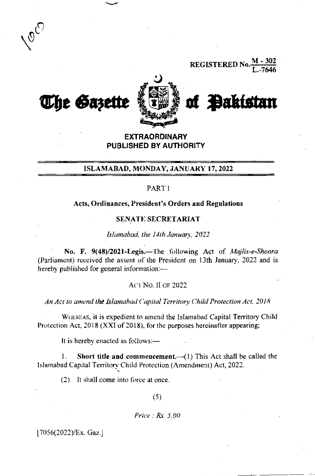**REGISTERED No** 



**EXTRAORDINARY** PUBLISHED BY AUTHORITY

### ISLAMABAD, MONDAY, JANUARY 17, 2022

## PART I

#### Acts, Ordinances, President's Orders and Regulations

#### SENATE SECRETARIAT

Islamabad, the 14th January, 2022

No. F. 9(48)/2021-Legis.-The following Act of Majlis-e-Shoora (Parliament) received the assent of the President on 13th January, 2022 and is hereby published for general information:-

#### **ACT NO. II OF 2022**

An Act to amend the Islamabad Capital Territory Child Protection Act, 2018

WHEREAS, it is expedient to amend the Islamabad Capital Territory Child Protection Act, 2018 (XXI of 2018), for the purposes hereinafter appearing:

It is hereby enacted as follows:-

Short title and commencement. $-(1)$  This Act shall be called the ŧ. Islamabad Capital Territory Child Protection (Amendment) Act, 2022.

(2) It shall come into force at once.

 $(5)$ 

Price:  $Rs. 5.00$ 

[7056(2022)/Ex. Gaz.]